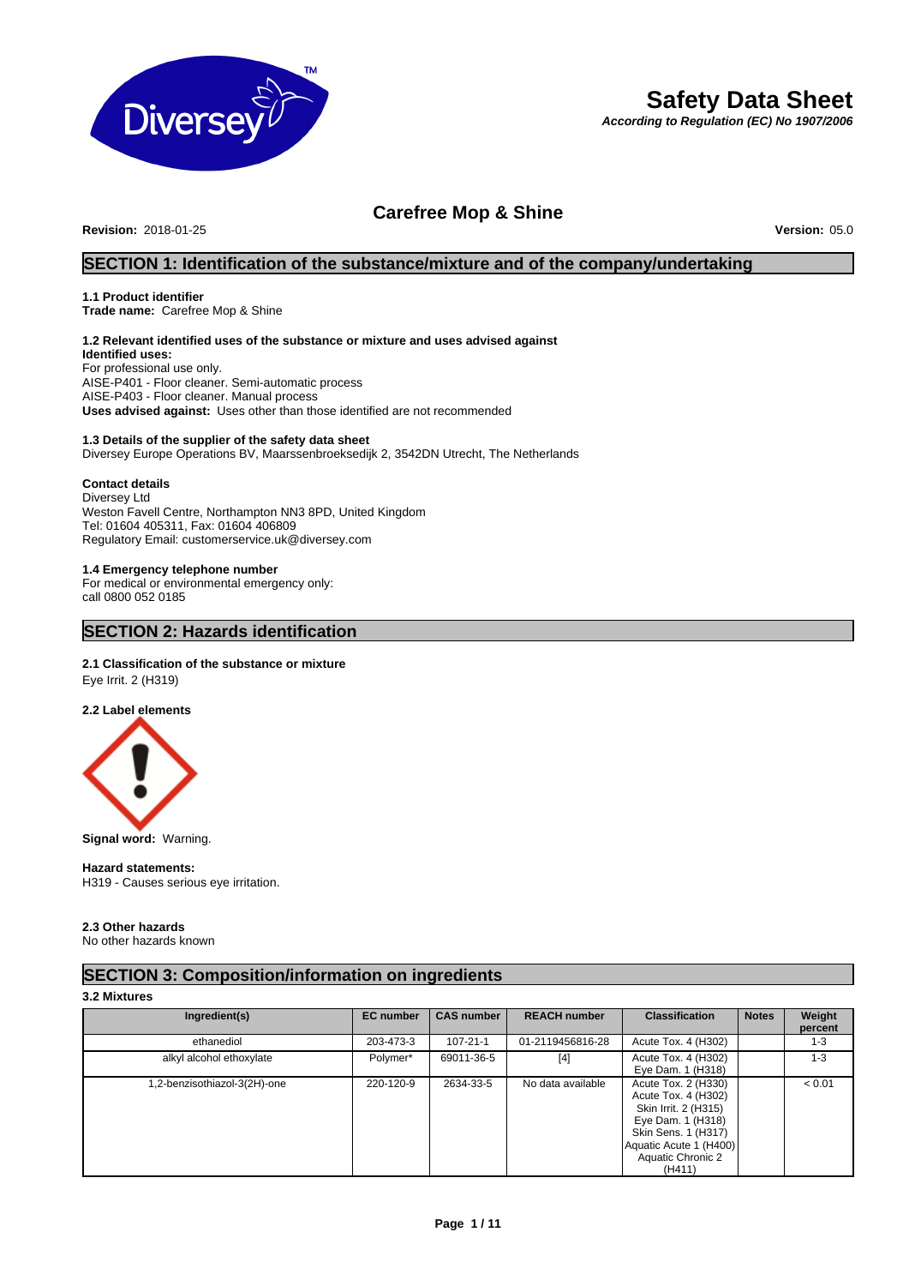

# **Safety Data Sheet**

*According to Regulation (EC) No 1907/2006*

# **Carefree Mop & Shine**

**Revision:** 2018-01-25 **Version:** 05.0

# **SECTION 1: Identification of the substance/mixture and of the company/undertaking**

# **1.1 Product identifier**

**Trade name:** Carefree Mop & Shine

# **1.2 Relevant identified uses of the substance or mixture and uses advised against**

**Identified uses:** For professional use only. AISE-P401 - Floor cleaner. Semi-automatic process AISE-P403 - Floor cleaner. Manual process **Uses advised against:** Uses other than those identified are not recommended

# **1.3 Details of the supplier of the safety data sheet**

Diversey Europe Operations BV, Maarssenbroeksedijk 2, 3542DN Utrecht, The Netherlands

#### **Contact details**

Diversey Ltd Weston Favell Centre, Northampton NN3 8PD, United Kingdom Tel: 01604 405311, Fax: 01604 406809 Regulatory Email: customerservice.uk@diversey.com

### **1.4 Emergency telephone number**

For medical or environmental emergency only: call 0800 052 0185

# **SECTION 2: Hazards identification**

# **2.1 Classification of the substance or mixture**

Eye Irrit. 2 (H319)

# **2.2 Label elements**



**Signal word:** Warning.

#### **Hazard statements:**

H319 - Causes serious eye irritation.

# **2.3 Other hazards**

No other hazards known

# **SECTION 3: Composition/information on ingredients**

# **3.2 Mixtures**

| Ingredient(s)                | <b>EC</b> number | <b>CAS number</b> | <b>REACH number</b> | <b>Classification</b>                                                                                                                                                   | <b>Notes</b> | Weight<br>percent |
|------------------------------|------------------|-------------------|---------------------|-------------------------------------------------------------------------------------------------------------------------------------------------------------------------|--------------|-------------------|
| ethanediol                   | 203-473-3        | $107 - 21 - 1$    | 01-2119456816-28    | Acute Tox. 4 (H302)                                                                                                                                                     |              | $1 - 3$           |
| alkyl alcohol ethoxylate     | Polymer*         | 69011-36-5        | $[4]$               | Acute Tox. 4 (H302)<br>Eye Dam. 1 (H318)                                                                                                                                |              | $1 - 3$           |
| 1,2-benzisothiazol-3(2H)-one | 220-120-9        | 2634-33-5         | No data available   | Acute Tox. 2 (H330)<br>Acute Tox. 4 (H302)<br>Skin Irrit. 2 (H315)<br>Eye Dam. 1 (H318)<br>Skin Sens. 1 (H317)<br>Aquatic Acute 1 (H400)<br>Aquatic Chronic 2<br>(H411) |              | < 0.01            |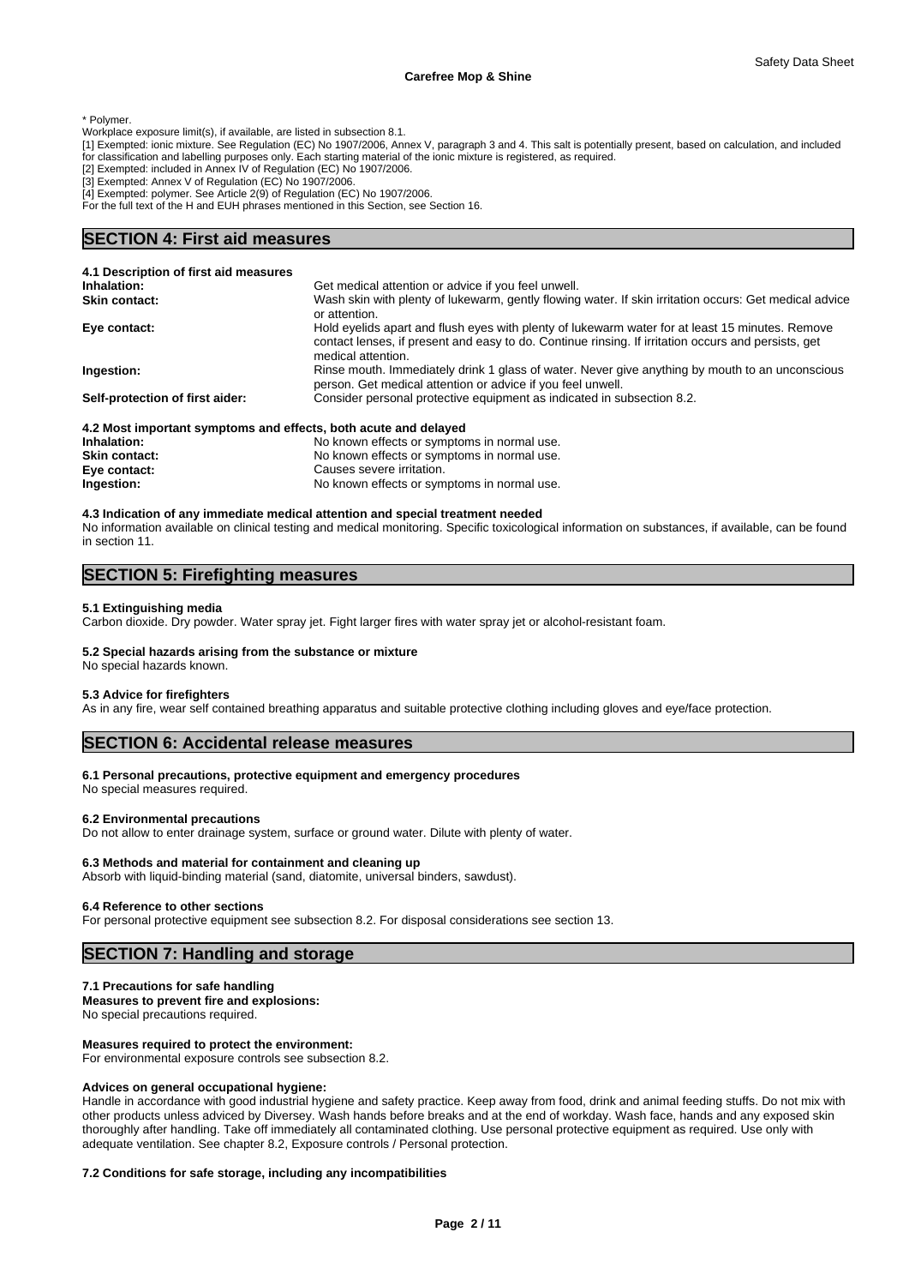\* Polymer.

- Workplace exposure limit(s), if available, are listed in subsection 8.1.
- [1] Exempted: ionic mixture. See Regulation (EC) No 1907/2006, Annex V, paragraph 3 and 4. This salt is potentially present, based on calculation, and included for classification and labelling purposes only. Each starting material of the ionic mixture is registered, as required.
- [2] Exempted: included in Annex IV of Regulation (EC) No 1907/2006.
- [3] Exempted: Annex V of Regulation (EC) No 1907/2006.
- [4] Exempted: polymer. See Article 2(9) of Regulation (EC) No 1907/2006.
- For the full text of the H and EUH phrases mentioned in this Section, see Section 16.

# **SECTION 4: First aid measures**

| 4.1 Description of first aid measures                           |                                                                                                                                                                                                                              |
|-----------------------------------------------------------------|------------------------------------------------------------------------------------------------------------------------------------------------------------------------------------------------------------------------------|
| Inhalation:                                                     | Get medical attention or advice if you feel unwell.                                                                                                                                                                          |
| <b>Skin contact:</b>                                            | Wash skin with plenty of lukewarm, gently flowing water. If skin irritation occurs: Get medical advice<br>or attention.                                                                                                      |
| Eye contact:                                                    | Hold eyelids apart and flush eyes with plenty of lukewarm water for at least 15 minutes. Remove<br>contact lenses, if present and easy to do. Continue rinsing. If irritation occurs and persists, get<br>medical attention. |
| Ingestion:                                                      | Rinse mouth. Immediately drink 1 glass of water. Never give anything by mouth to an unconscious<br>person. Get medical attention or advice if you feel unwell.                                                               |
| Self-protection of first aider:                                 | Consider personal protective equipment as indicated in subsection 8.2.                                                                                                                                                       |
| 4.2 Most important symptoms and effects, both acute and delayed |                                                                                                                                                                                                                              |
| Inhalation.                                                     | No known effects or symptoms in normal use                                                                                                                                                                                   |

**Inhalation:** No known effects or symptoms in normal use. **Skin contact:** No known effects or symptoms in normal use. **Eye contact:** Causes severe irritation. **Ingestion:** No known effects or symptoms in normal use.

# **4.3 Indication of any immediate medical attention and special treatment needed** No information available on clinical testing and medical monitoring. Specific toxicological information on substances, if available, can be found in section 11.

# **SECTION 5: Firefighting measures**

#### **5.1 Extinguishing media**

Carbon dioxide. Dry powder. Water spray jet. Fight larger fires with water spray jet or alcohol-resistant foam.

#### **5.2 Special hazards arising from the substance or mixture**

# No special hazards known.

# **5.3 Advice for firefighters**

As in any fire, wear self contained breathing apparatus and suitable protective clothing including gloves and eye/face protection.

# **SECTION 6: Accidental release measures**

#### **6.1 Personal precautions, protective equipment and emergency procedures**

No special measures required.

#### **6.2 Environmental precautions**

Do not allow to enter drainage system, surface or ground water. Dilute with plenty of water.

#### **6.3 Methods and material for containment and cleaning up**

Absorb with liquid-binding material (sand, diatomite, universal binders, sawdust).

#### **6.4 Reference to other sections**

For personal protective equipment see subsection 8.2. For disposal considerations see section 13.

# **SECTION 7: Handling and storage**

#### **7.1 Precautions for safe handling**

**Measures to prevent fire and explosions:**

No special precautions required.

#### **Measures required to protect the environment:**

For environmental exposure controls see subsection 8.2.

#### **Advices on general occupational hygiene:**

Handle in accordance with good industrial hygiene and safety practice. Keep away from food, drink and animal feeding stuffs. Do not mix with other products unless adviced by Diversey. Wash hands before breaks and at the end of workday. Wash face, hands and any exposed skin thoroughly after handling. Take off immediately all contaminated clothing. Use personal protective equipment as required. Use only with adequate ventilation. See chapter 8.2, Exposure controls / Personal protection.

#### **7.2 Conditions for safe storage, including any incompatibilities**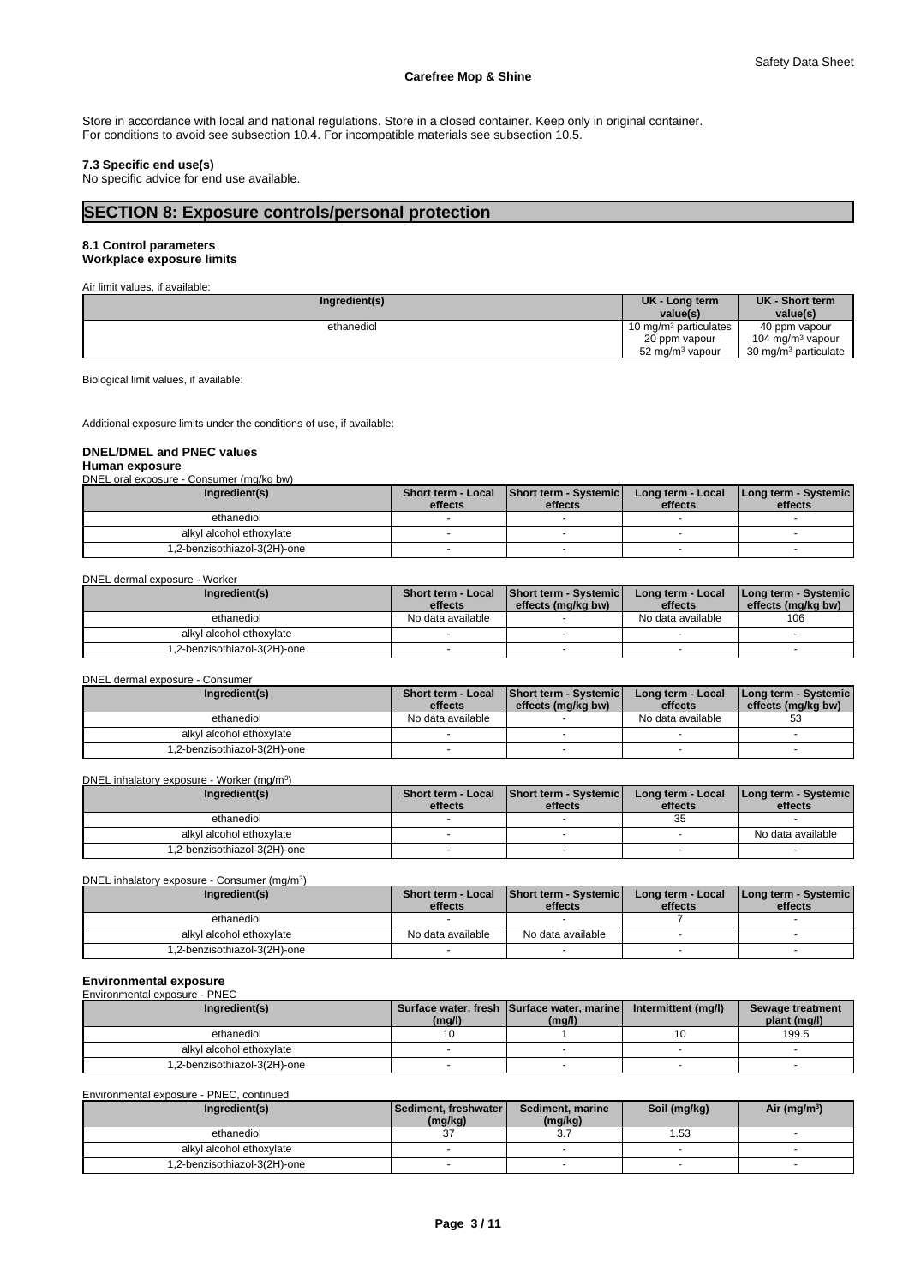Store in accordance with local and national regulations. Store in a closed container. Keep only in original container. For conditions to avoid see subsection 10.4. For incompatible materials see subsection 10.5.

# **7.3 Specific end use(s)**

No specific advice for end use available.

# **SECTION 8: Exposure controls/personal protection**

# **8.1 Control parameters**

**Workplace exposure limits**

| Air limit values, if available: |                                   |                                  |
|---------------------------------|-----------------------------------|----------------------------------|
| Ingredient(s)                   | UK - Long term<br>value(s)        | UK - Short term<br>value(s)      |
| ethanediol                      | 10 mg/m <sup>3</sup> particulates | 40 ppm vapour                    |
|                                 | 20 ppm vapour                     | 104 mg/m <sup>3</sup> vapour     |
|                                 | 52 mg/m <sup>3</sup> vapour       | 30 mg/m <sup>3</sup> particulate |

Biological limit values, if available:

Additional exposure limits under the conditions of use, if available:

### **DNEL/DMEL and PNEC values**

**Human exposure**

DNEL oral exposure - Consumer (mg/kg bw)

| Ingredient(s)               |         | Short term - Local Short term - Systemic | Long term - Local | Long term - Systemic |
|-----------------------------|---------|------------------------------------------|-------------------|----------------------|
|                             | effects | effects                                  | effects           | effects              |
| ethanediol                  |         |                                          |                   |                      |
| alkyl alcohol ethoxylate    |         |                                          |                   |                      |
| .2-benzisothiazol-3(2H)-one |         |                                          |                   |                      |

DNEL dermal exposure - Worker

| Ingredient(s)               | <b>Short term - Local</b> | Short term - Systemic | Long term - Local | [Long term - Systemic] |
|-----------------------------|---------------------------|-----------------------|-------------------|------------------------|
|                             | effects                   | effects (mg/kg bw)    | effects           | effects (mg/kg bw)     |
| ethanediol                  | No data available         |                       | No data available | 106                    |
| alkyl alcohol ethoxylate    |                           |                       |                   |                        |
| .2-benzisothiazol-3(2H)-one |                           |                       |                   |                        |

DNEL dermal exposure - Consumer

| Ingredient(s)               | effects           | Short term - Local Short term - Systemic<br>effects (mg/kg bw) | Long term - Local<br>effects | [Long term - Systemic]<br>effects (mg/kg bw) |
|-----------------------------|-------------------|----------------------------------------------------------------|------------------------------|----------------------------------------------|
| ethanediol                  | No data available |                                                                | No data available            | 53                                           |
| alkyl alcohol ethoxylate    |                   |                                                                |                              |                                              |
| .2-benzisothiazol-3(2H)-one |                   |                                                                |                              |                                              |

#### DNEL inhalatory exposure - Worker (mg/m<sup>3</sup>

| DNEL inhalatory exposure - Worker (mg/m <sup>3</sup> ) |                              |         |                                                     |                              |                                 |  |  |
|--------------------------------------------------------|------------------------------|---------|-----------------------------------------------------|------------------------------|---------------------------------|--|--|
|                                                        | Ingredient(s)                | effects | Short term - Local Short term - Systemic<br>effects | Long term - Local<br>effects | Long term - Systemic<br>effects |  |  |
|                                                        | ethanediol                   |         |                                                     |                              |                                 |  |  |
|                                                        | alkyl alcohol ethoxylate     |         |                                                     |                              | No data available               |  |  |
|                                                        | 1,2-benzisothiazol-3(2H)-one |         |                                                     |                              |                                 |  |  |

DNEL inhalatory exposure - Consumer (mg/m<sup>3</sup>)

| Ingredient(s)               | <b>Short term - Local</b><br>effects | Short term - Systemic<br>effects | Long term - Local<br>effects | <b>I Long term - Systemic</b><br>effects |
|-----------------------------|--------------------------------------|----------------------------------|------------------------------|------------------------------------------|
| ethanediol                  |                                      |                                  |                              |                                          |
| alkyl alcohol ethoxylate    | No data available                    | No data available                |                              |                                          |
| .2-benzisothiazol-3(2H)-one |                                      |                                  |                              |                                          |

)

# **Environmental exposure**

| Environmental exposure - PNEC |        |                                                      |                     |                                  |  |  |  |
|-------------------------------|--------|------------------------------------------------------|---------------------|----------------------------------|--|--|--|
| Ingredient(s)                 | (mg/l) | Surface water, fresh Surface water, marine<br>(mg/l) | Intermittent (mg/l) | Sewage treatment<br>plant (mg/l) |  |  |  |
| ethanediol                    |        |                                                      |                     | 199.5                            |  |  |  |
| alkyl alcohol ethoxylate      |        |                                                      |                     |                                  |  |  |  |
| 1.2-benzisothiazol-3(2H)-one  |        |                                                      |                     |                                  |  |  |  |

Environmental exposure - PNEC, continued

| Ingredient(s)                | l Sediment. freshwater l<br>(mg/kg) | Sediment, marine<br>(mg/kg) | Soil (mg/kg) | Air (mg/m <sup>3</sup> ) |
|------------------------------|-------------------------------------|-----------------------------|--------------|--------------------------|
| ethanediol                   | ົ                                   | ົ<br>، ب                    | l .53        |                          |
| alkyl alcohol ethoxylate     |                                     |                             |              |                          |
| 1,2-benzisothiazol-3(2H)-one |                                     |                             |              |                          |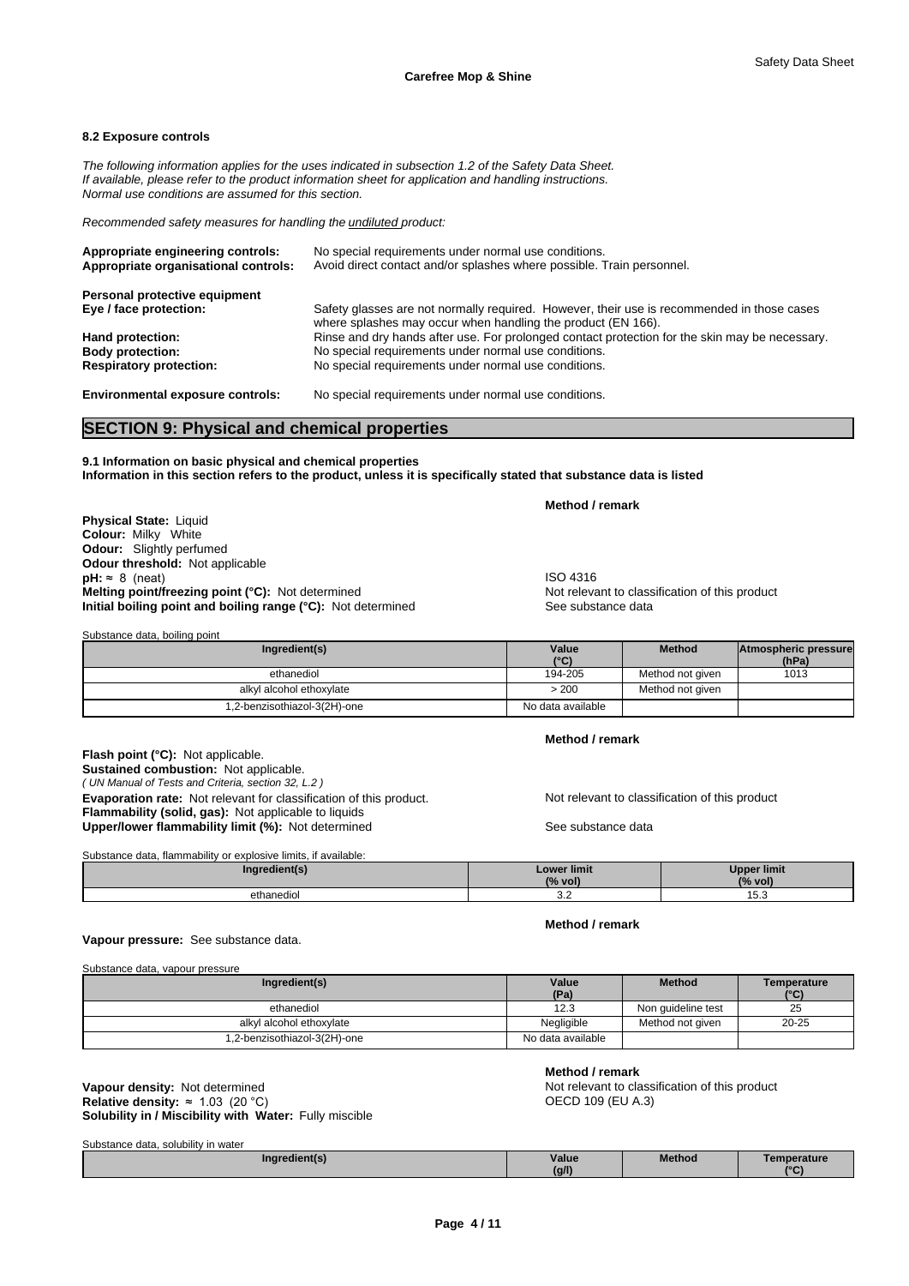#### **8.2 Exposure controls**

*The following information applies for the uses indicated in subsection 1.2 of the Safety Data Sheet. If available, please refer to the product information sheet for application and handling instructions. Normal use conditions are assumed for this section.*

*Recommended safety measures for handling the undiluted product:*

| Appropriate engineering controls:<br>Appropriate organisational controls: | No special requirements under normal use conditions.<br>Avoid direct contact and/or splashes where possible. Train personnel.                              |
|---------------------------------------------------------------------------|------------------------------------------------------------------------------------------------------------------------------------------------------------|
| Personal protective equipment                                             |                                                                                                                                                            |
| Eye / face protection:                                                    | Safety glasses are not normally required. However, their use is recommended in those cases<br>where splashes may occur when handling the product (EN 166). |
| Hand protection:                                                          | Rinse and dry hands after use. For prolonged contact protection for the skin may be necessary.                                                             |
| <b>Body protection:</b>                                                   | No special requirements under normal use conditions.                                                                                                       |
| <b>Respiratory protection:</b>                                            | No special requirements under normal use conditions.                                                                                                       |
| <b>Environmental exposure controls:</b>                                   | No special requirements under normal use conditions.                                                                                                       |

# **SECTION 9: Physical and chemical properties**

**9.1 Information on basic physical and chemical properties Information in this section refers to the product, unless it is specifically stated that substance data is listed**

**Physical State:** Liquid **Colour:** Milky White **Odour:** Slightly perfumed **Odour threshold:** Not applicable **pH:** ≈ 8 (neat)<br> **Melting point/freezing point (°C):** Not determined<br> **Melting point/freezing point (°C):** Not determined<br> **Melting point/freezing point (°C):** Not determined **Melting point/freezing point (°C):** Not determined **Initial boiling point and boiling range (°C):** Not determined See substance data

**Method / remark**

| Substance data, boiling point |                   |                  |                               |
|-------------------------------|-------------------|------------------|-------------------------------|
| Ingredient(s)                 | Value<br>(°C)     | <b>Method</b>    | Atmospheric pressure<br>(hPa) |
| ethanediol                    | 194-205           | Method not given | 1013                          |
| alkyl alcohol ethoxylate      | > 200             | Method not given |                               |
| 1,2-benzisothiazol-3(2H)-one  | No data available |                  |                               |

*( UN Manual of Tests and Criteria, section 32, L.2 )* **Flash point (°C):** Not applicable. **Sustained combustion:** Not applicable. **Evaporation rate:** Not relevant for classification of this product. Not relevant to classification of this product **Flammability (solid, gas):** Not applicable to liquids **Upper/lower flammability limit (%):** Not determined See substance data

Substance data, flammability or explosive limits, if available:

**Method / remark**

**Method / remark**

| Substance data. Indifficiability of explosive limits. If available. |             |                    |
|---------------------------------------------------------------------|-------------|--------------------|
| Ingredient(s)                                                       | Lower limit | <b>Upper limit</b> |
|                                                                     | (% vol)     | (% vol             |
| ethanediol                                                          | ັ           | ن. ب               |

# **Vapour pressure:** See substance data.

Substance data, vapour pressure

| Ingredient(s)               | Value             | <b>Method</b>      | Temperature |
|-----------------------------|-------------------|--------------------|-------------|
|                             | (Pa)              |                    | (°C)        |
| ethanediol                  | 12.3              | Non quideline test | 25          |
| alkyl alcohol ethoxylate    | Negligible        | Method not aiven   | $20 - 25$   |
| .2-benzisothiazol-3(2H)-one | No data available |                    |             |

**Solubility in / Miscibility with Water:** Fully miscible **Vapour density:** Not determined **Notice and American Control of the Not relevant to classification of this product Relative density:** ≈1.03(20°C)

**Method / remark**

OECD 109 (EU A.3)

| Substance data, solubility in water |       |               |            |
|-------------------------------------|-------|---------------|------------|
| Inaredient(s)                       | Value | <b>Method</b> | emperature |
|                                     | (g/l) |               | $\sim$     |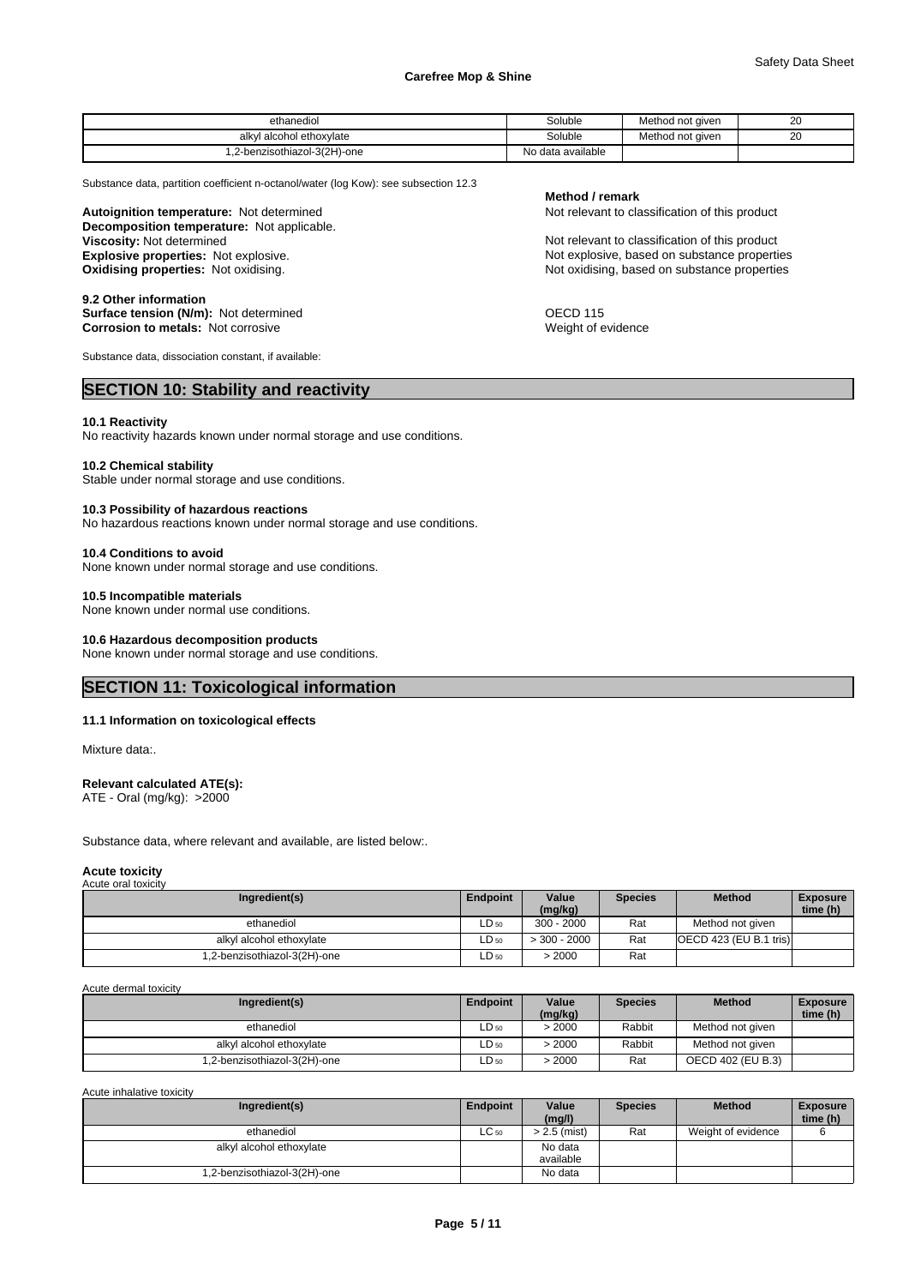| ethanediol                    | Soluble           | Method not aiven | 20<br>$\sim$ |  |
|-------------------------------|-------------------|------------------|--------------|--|
| I alcohol ethoxvlate<br>alkvl | Soluble           | Method not given | 20<br>__     |  |
| .2-benzisothiazol-3(2H)-one   | No data available |                  |              |  |

Substance data, partition coefficient n-octanol/water (log Kow): see subsection 12.3

**Decomposition temperature:** Not applicable. **Autoignition temperature:** Not determined **Notification of this product** Not relevant to classification of this product **Explosive properties:** Not explosive. **Explosive properties:** Not explosive, based on substance properties

**9.2 Other information Surface tension (N/m):** Not determined **OECD 115 Corrosion to metals:** Not corrosive Weight of evidence

Substance data, dissociation constant, if available:

# **SECTION 10: Stability and reactivity**

#### **10.1 Reactivity**

No reactivity hazards known under normal storage and use conditions.

#### **10.2 Chemical stability**

Stable under normal storage and use conditions.

#### **10.3 Possibility of hazardous reactions**

No hazardous reactions known under normal storage and use conditions.

#### **10.4 Conditions to avoid**

None known under normal storage and use conditions.

#### **10.5 Incompatible materials**

None known under normal use conditions.

# **10.6 Hazardous decomposition products**

None known under normal storage and use conditions.

# **SECTION 11: Toxicological information**

#### **11.1 Information on toxicological effects**

Mixture data:.

#### **Relevant calculated ATE(s):**

ATE - Oral (mg/kg): >2000

Substance data, where relevant and available, are listed below:.

#### **Acute toxicity** Acute oral toxicity

| Ingredient(s)               | <b>Endpoint</b> | Value<br>(mg/kg) | <b>Species</b> | <b>Method</b>                       | <b>Exposure</b><br>time (h) |
|-----------------------------|-----------------|------------------|----------------|-------------------------------------|-----------------------------|
| ethanediol                  | $LD_{50}$       | $300 - 2000$     | Rat            | Method not given                    |                             |
| alkyl alcohol ethoxylate    | $LD_{50}$       | $>$ 300 - 2000   | Rat            | $\overline{OECD}$ 423 (EU B.1 tris) |                             |
| .2-benzisothiazol-3(2H)-one | $LD_{50}$       | 2000             | Rat            |                                     |                             |

Acute dermal toxicity

| Ingredient(s)               | Endpoint  | Value<br>(mg/kg) | <b>Species</b> | <b>Method</b>     | <b>Exposure</b><br>time (h) |
|-----------------------------|-----------|------------------|----------------|-------------------|-----------------------------|
| ethanediol                  | $LD_{50}$ | >2000            | Rabbit         | Method not given  |                             |
| alkyl alcohol ethoxylate    | LD 50     | 2000             | Rabbit         | Method not given  |                             |
| .2-benzisothiazol-3(2H)-one | ∟D 50     | 2000             | Rat            | OECD 402 (EU B.3) |                             |

Acute inhalative toxicity

| Ingredient(s)                | Endpoint  | Value<br>(mg/l)      | <b>Species</b> | <b>Method</b>      | <b>Exposure</b><br>time (h) |
|------------------------------|-----------|----------------------|----------------|--------------------|-----------------------------|
| ethanediol                   | $LC_{50}$ | > 2.5 (mist)         | Rat            | Weight of evidence |                             |
| alkyl alcohol ethoxylate     |           | No data<br>available |                |                    |                             |
| 1,2-benzisothiazol-3(2H)-one |           | No data              |                |                    |                             |

### **Method / remark**

Not relevant to classification of this product **Oxidising properties:** Not oxidising. Not oxidising, based on substance properties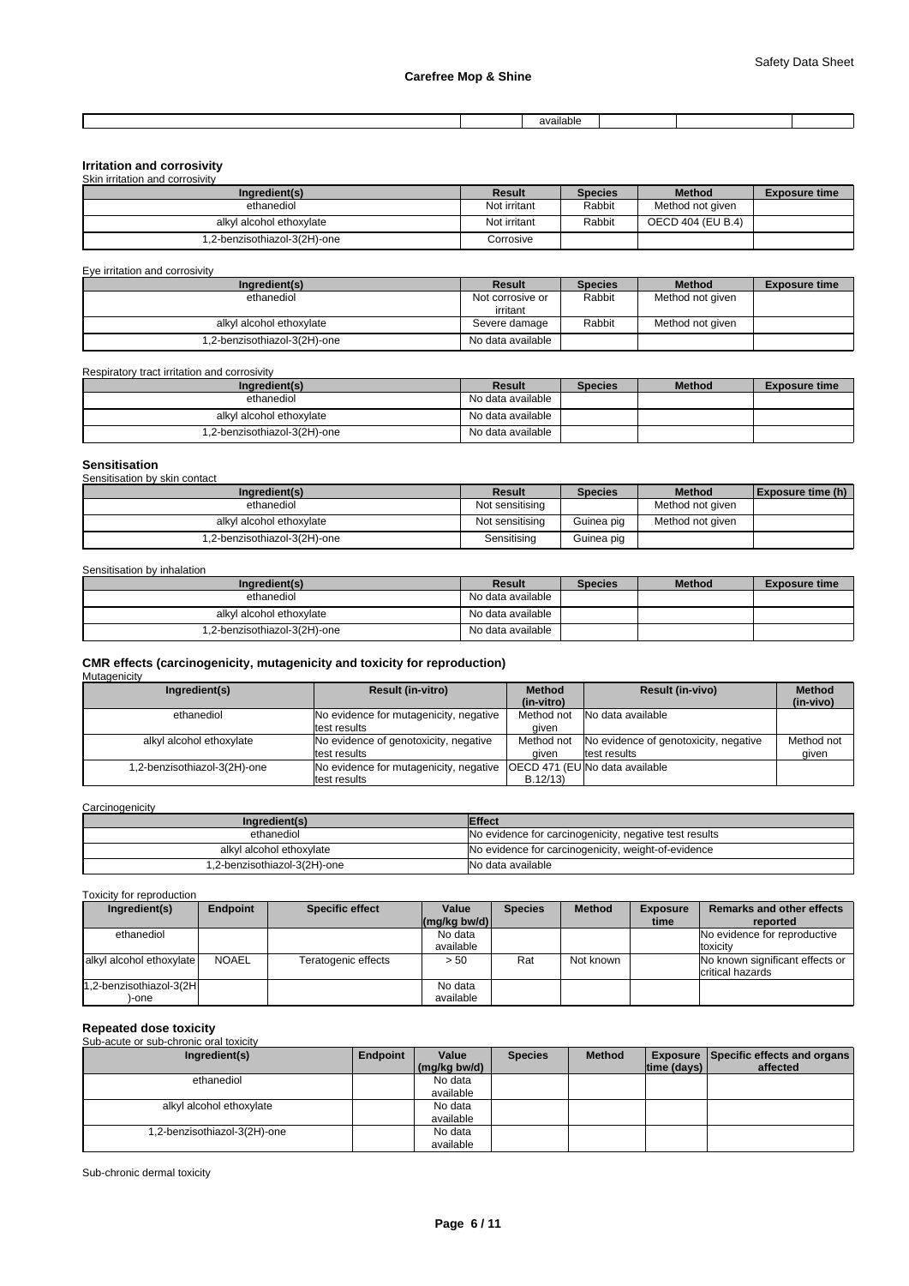|  | $\cdot$ .<br>.vailari<br>. |  |  |
|--|----------------------------|--|--|

# **Irritation and corrosivity**

| Skin irritation and corrosivity |              |                |                   |                      |
|---------------------------------|--------------|----------------|-------------------|----------------------|
| Ingredient(s)                   | Result       | <b>Species</b> | <b>Method</b>     | <b>Exposure time</b> |
| ethanediol                      | Not irritant | Rabbit         | Method not given  |                      |
| alkyl alcohol ethoxylate        | Not irritant | Rabbit         | OECD 404 (EU B.4) |                      |
| 1,2-benzisothiazol-3(2H)-one    | Corrosive    |                |                   |                      |

Eye irritation and corrosivity

| Ingredient(s)               | Result            | <b>Species</b> | <b>Method</b>    | <b>Exposure time</b> |
|-----------------------------|-------------------|----------------|------------------|----------------------|
| ethanediol                  | Not corrosive or  | Rabbit         | Method not given |                      |
|                             | irritant          |                |                  |                      |
| alkyl alcohol ethoxylate    | Severe damage     | Rabbit         | Method not given |                      |
| .2-benzisothiazol-3(2H)-one | No data available |                |                  |                      |

Respiratory tract irritation and corrosivity

| Ingredient(s)                | Result            | <b>Species</b> | <b>Method</b> | <b>Exposure time</b> |
|------------------------------|-------------------|----------------|---------------|----------------------|
| ethanediol                   | No data available |                |               |                      |
| alkyl alcohol ethoxylate     | No data available |                |               |                      |
| 1,2-benzisothiazol-3(2H)-one | No data available |                |               |                      |

# **Sensitisation**

Sensitisation by skin contact

| Ingredient(s)                | Result          | <b>Species</b> | <b>Method</b>    | <b>Exposure time (h)</b> |
|------------------------------|-----------------|----------------|------------------|--------------------------|
| ethanediol                   | Not sensitising |                | Method not given |                          |
| alkyl alcohol ethoxylate     | Not sensitising | Guinea pig     | Method not given |                          |
| 1,2-benzisothiazol-3(2H)-one | Sensitising     | Guinea pig     |                  |                          |

Sensitisation by inhalation

| Ingredient(s)                | Result            | <b>Species</b> | <b>Method</b> | <b>Exposure time</b> |
|------------------------------|-------------------|----------------|---------------|----------------------|
| ethanediol                   | No data available |                |               |                      |
| alkyl alcohol ethoxylate     | No data available |                |               |                      |
| 1,2-benzisothiazol-3(2H)-one | No data available |                |               |                      |

# **CMR effects (carcinogenicity, mutagenicity and toxicity for reproduction)**

| Mutagenicity                |                                                        |                             |                                                       |                            |  |
|-----------------------------|--------------------------------------------------------|-----------------------------|-------------------------------------------------------|----------------------------|--|
| Ingredient(s)               | <b>Result (in-vitro)</b>                               | <b>Method</b><br>(in-vitro) | <b>Result (in-vivo)</b>                               | <b>Method</b><br>(in-vivo) |  |
| ethanediol                  | No evidence for mutagenicity, negative<br>test results | Method not<br>aiven         | No data available                                     |                            |  |
| alkyl alcohol ethoxylate    | No evidence of genotoxicity, negative<br>test results  | Method not<br>aiven         | No evidence of genotoxicity, negative<br>test results | Method not<br>given        |  |
| .2-benzisothiazol-3(2H)-one | No evidence for mutagenicity, negative<br>test results | B.12/13                     | IOECD 471 (EUINo data available                       |                            |  |

**Carcinogenicity** 

| Ingredient(s)                | <b>Effect</b>                                          |
|------------------------------|--------------------------------------------------------|
| ethanediol                   | No evidence for carcinogenicity, negative test results |
| alkyl alcohol ethoxylate     | No evidence for carcinogenicity, weight-of-evidence    |
| 1,2-benzisothiazol-3(2H)-one | No data available                                      |

Toxicity for reproduction

| Ingredient(s)                    | <b>Endpoint</b> | <b>Specific effect</b> | Value                                | <b>Species</b> | <b>Method</b> | <b>Exposure</b> | <b>Remarks and other effects</b>                    |
|----------------------------------|-----------------|------------------------|--------------------------------------|----------------|---------------|-----------------|-----------------------------------------------------|
|                                  |                 |                        | $\lfloor (mq/kg) \cdot (md) \rfloor$ |                |               | time            | reported                                            |
| ethanediol                       |                 |                        | No data                              |                |               |                 | No evidence for reproductive                        |
|                                  |                 |                        | available                            |                |               |                 | toxicity                                            |
| alkyl alcohol ethoxylate         | <b>NOAEL</b>    | Teratogenic effects    | > 50                                 | Rat            | Not known     |                 | No known significant effects or<br>critical hazards |
| 1,2-benzisothiazol-3(2H<br>)-one |                 |                        | No data<br>available                 |                |               |                 |                                                     |

#### **Repeated dose toxicity**<br>Sub acute or sub chronic aral toxicity Sub-acute or sub-chronic

| <b>Dab abato of bab billorile bilar toxibity</b> |          |              |                |               |             |                                                 |
|--------------------------------------------------|----------|--------------|----------------|---------------|-------------|-------------------------------------------------|
| Ingredient(s)                                    | Endpoint | Value        | <b>Species</b> | <b>Method</b> |             | <b>Exposure   Specific effects and organs  </b> |
|                                                  |          | (mg/kg bw/d) |                |               | time (days) | affected                                        |
| ethanediol                                       |          | No data      |                |               |             |                                                 |
|                                                  |          | available    |                |               |             |                                                 |
| alkyl alcohol ethoxylate                         |          | No data      |                |               |             |                                                 |
|                                                  |          | available    |                |               |             |                                                 |
| 1,2-benzisothiazol-3(2H)-one                     |          | No data      |                |               |             |                                                 |
|                                                  |          | available    |                |               |             |                                                 |
|                                                  |          |              |                |               |             |                                                 |

Sub-chronic dermal toxicity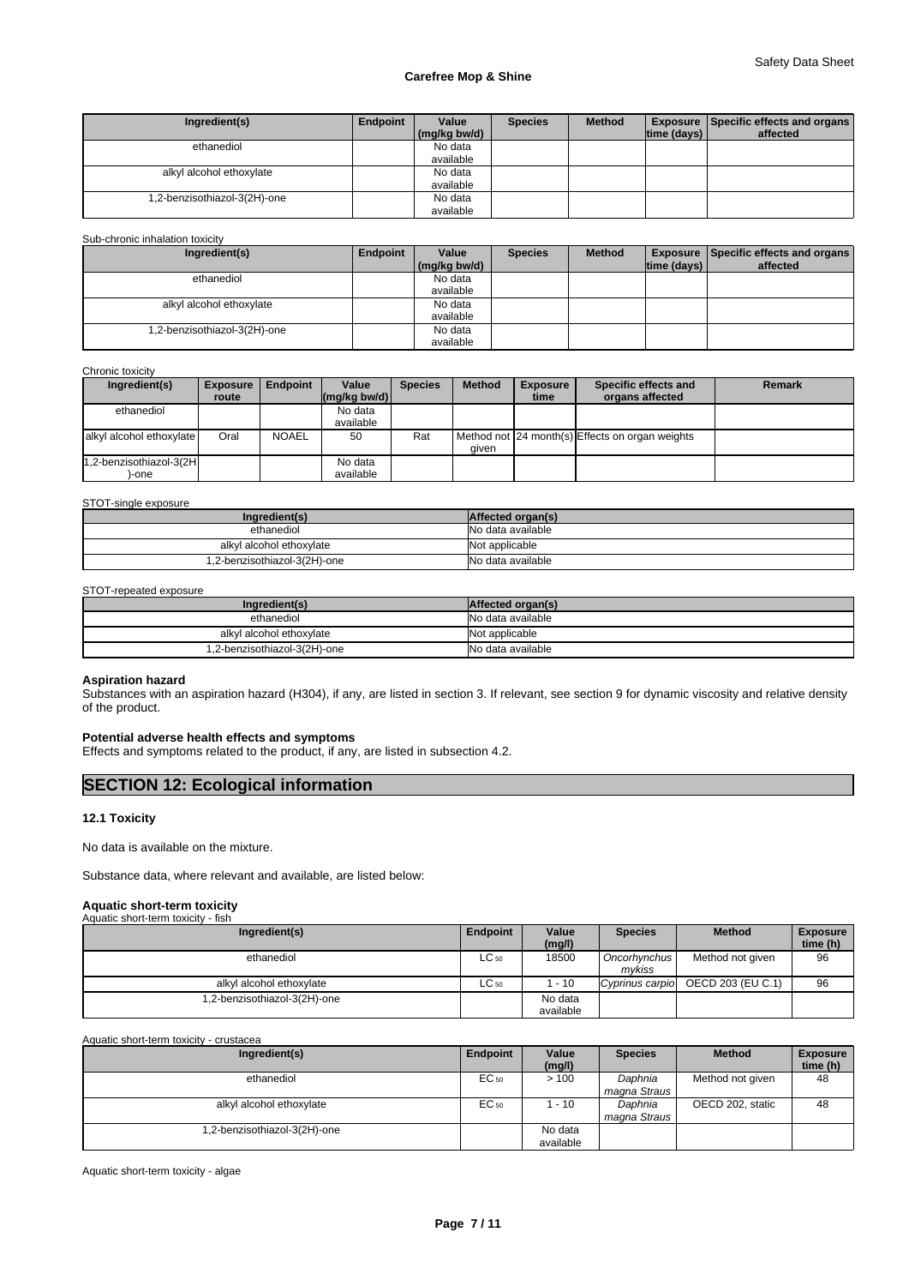| Ingredient(s)                | Endpoint | Value        | <b>Species</b> | <b>Method</b> |                                | <b>Exposure   Specific effects and organs  </b> |  |
|------------------------------|----------|--------------|----------------|---------------|--------------------------------|-------------------------------------------------|--|
|                              |          | (mg/kg bw/d) |                |               | $\lim_{\theta}$ (days) $\Vert$ | affected                                        |  |
| ethanediol                   |          | No data      |                |               |                                |                                                 |  |
|                              |          | available    |                |               |                                |                                                 |  |
| alkyl alcohol ethoxylate     |          | No data      |                |               |                                |                                                 |  |
|                              |          | available    |                |               |                                |                                                 |  |
| 1,2-benzisothiazol-3(2H)-one |          | No data      |                |               |                                |                                                 |  |
|                              |          | available    |                |               |                                |                                                 |  |

#### Sub-chronic inhalation toxicity

| Ingredient(s)                | Endpoint | Value        | <b>Species</b> | <b>Method</b> |             | <b>Exposure   Specific effects and organs  </b> |
|------------------------------|----------|--------------|----------------|---------------|-------------|-------------------------------------------------|
|                              |          | (mg/kg bw/d) |                |               | time (days) | affected                                        |
| ethanediol                   |          | No data      |                |               |             |                                                 |
|                              |          | available    |                |               |             |                                                 |
| alkyl alcohol ethoxylate     |          | No data      |                |               |             |                                                 |
|                              |          | available    |                |               |             |                                                 |
| 1,2-benzisothiazol-3(2H)-one |          | No data      |                |               |             |                                                 |
|                              |          | available    |                |               |             |                                                 |

Chronic toxicity

| Ingredient(s)            | <b>Exposure</b> | Endpoint     | Value                                  | <b>Species</b> | <b>Method</b> | <b>Exposure</b> | Specific effects and                            | <b>Remark</b> |
|--------------------------|-----------------|--------------|----------------------------------------|----------------|---------------|-----------------|-------------------------------------------------|---------------|
|                          | route           |              | $\lfloor (mg/kg \text{ bw/d}) \rfloor$ |                |               | time            | organs affected                                 |               |
| ethanediol               |                 |              | No data                                |                |               |                 |                                                 |               |
|                          |                 |              | available                              |                |               |                 |                                                 |               |
| alkyl alcohol ethoxylate | Oral            | <b>NOAEL</b> | 50                                     | Rat            |               |                 | Method not 24 month(s) Effects on organ weights |               |
|                          |                 |              |                                        |                | aiven         |                 |                                                 |               |
| 1,2-benzisothiazol-3(2H  |                 |              | No data                                |                |               |                 |                                                 |               |
| -one                     |                 |              | available                              |                |               |                 |                                                 |               |

STOT-single exposure

| Ingredient(s)                | Affected organ(s) |
|------------------------------|-------------------|
| ethanediol                   | No data available |
| alkvl alcohol ethoxvlate     | Not applicable    |
| 1,2-benzisothiazol-3(2H)-one | No data available |

#### STOT-repeated exposure

| Ingredient(s)                | Affected organ(s) |
|------------------------------|-------------------|
| ethanediol                   | No data available |
| alkyl alcohol ethoxylate     | Not applicable    |
| 1,2-benzisothiazol-3(2H)-one | No data available |

#### **Aspiration hazard**

Substances with an aspiration hazard (H304), if any, are listed in section 3. If relevant, see section 9 for dynamic viscosity and relative density of the product.

### **Potential adverse health effects and symptoms**

Effects and symptoms related to the product, if any, are listed in subsection 4.2.

# **SECTION 12: Ecological information**

#### **12.1 Toxicity**

No data is available on the mixture.

Substance data, where relevant and available, are listed below:

# **Aquatic short-term toxicity** Aquatic short-term toxicity - fish

| Ingredient(s)               | Endpoint  | Value<br>(mg/l)      | <b>Species</b>         | <b>Method</b>     | <b>Exposure</b><br>time (h) |
|-----------------------------|-----------|----------------------|------------------------|-------------------|-----------------------------|
| ethanediol                  | $LC_{50}$ | 18500                | Oncorhynchus<br>mvkiss | Method not given  | 96                          |
| alkyl alcohol ethoxylate    | $LC_{50}$ | $-10$                | Cyprinus carpio        | OECD 203 (EU C.1) | 96                          |
| .2-benzisothiazol-3(2H)-one |           | No data<br>available |                        |                   |                             |

Aquatic short-term toxicity - crustacea

| Ingredient(s)                | <b>Endpoint</b> | Value     | <b>Species</b> | <b>Method</b>    | <b>Exposure</b> |
|------------------------------|-----------------|-----------|----------------|------------------|-----------------|
|                              |                 | (mg/l)    |                |                  | time (h)        |
| ethanediol                   | EC 50           | >100      | Daphnia        | Method not given | 48              |
|                              |                 |           | magna Straus   |                  |                 |
| alkyl alcohol ethoxylate     | EC 50           | $-10$     | Daphnia        | OECD 202, static | 48              |
|                              |                 |           | magna Straus   |                  |                 |
| 1,2-benzisothiazol-3(2H)-one |                 | No data   |                |                  |                 |
|                              |                 | available |                |                  |                 |

Aquatic short-term toxicity - algae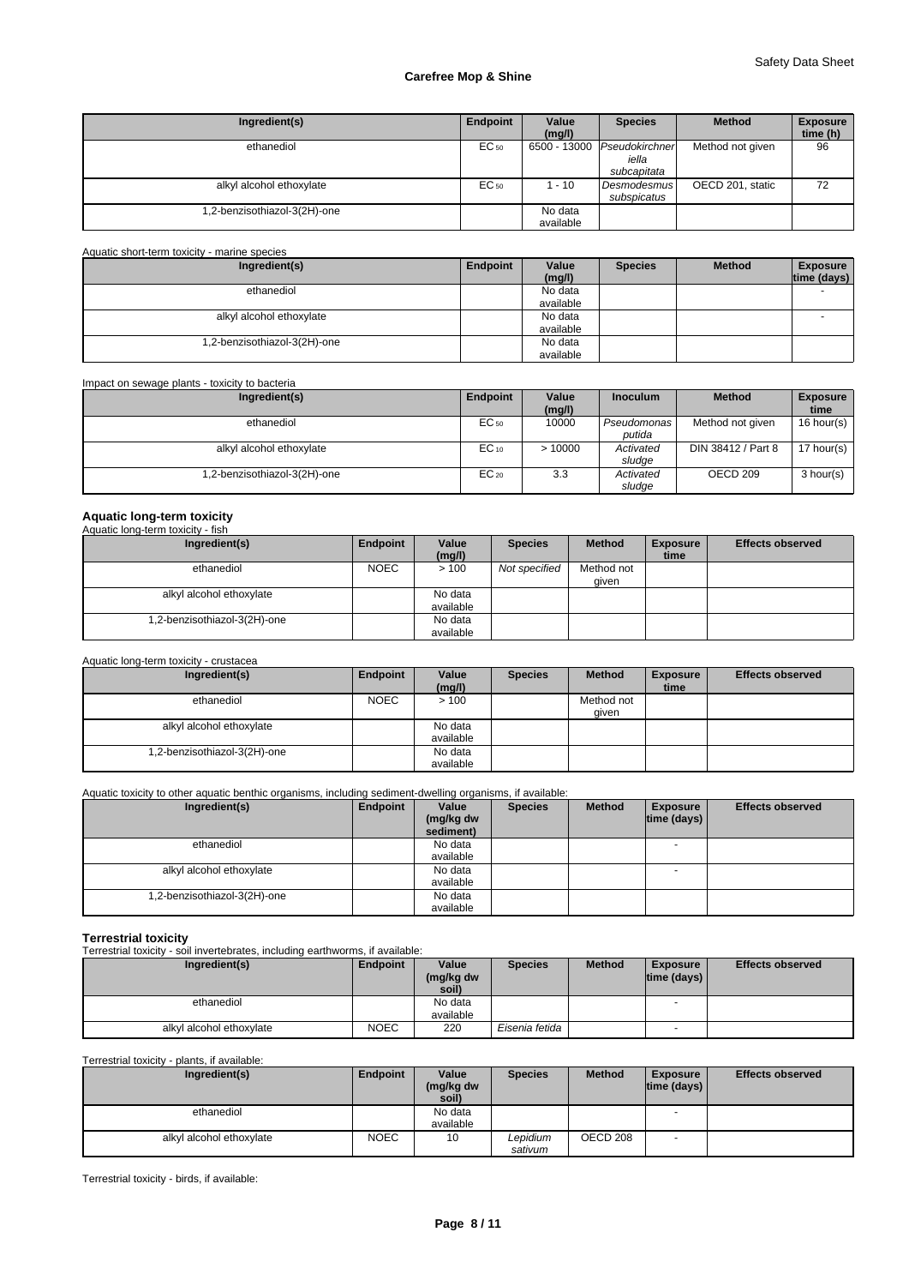| Ingredient(s)                | Endpoint | Value<br>(mg/l)      | <b>Species</b>                         | <b>Method</b>    | <b>Exposure</b><br>time (h) |
|------------------------------|----------|----------------------|----------------------------------------|------------------|-----------------------------|
| ethanediol                   | EC 50    | 6500 - 13000         | Pseudokirchner<br>iella<br>subcapitata | Method not given | 96                          |
| alkyl alcohol ethoxylate     | EC 50    | $-10$                | Desmodesmus<br>subspicatus             | OECD 201, static | 72                          |
| 1,2-benzisothiazol-3(2H)-one |          | No data<br>available |                                        |                  |                             |

Aquatic short-term toxicity - marine species

| Ingredient(s)                | Endpoint | Value<br>(mg/l) | <b>Species</b> | <b>Method</b> | <b>Exposure</b><br>time (days) |
|------------------------------|----------|-----------------|----------------|---------------|--------------------------------|
| ethanediol                   |          | No data         |                |               | -                              |
|                              |          | available       |                |               |                                |
| alkyl alcohol ethoxylate     |          | No data         |                |               |                                |
|                              |          | available       |                |               |                                |
| 1,2-benzisothiazol-3(2H)-one |          | No data         |                |               |                                |
|                              |          | available       |                |               |                                |

Impact on sewage plants - toxicity to bacteria

| Ingredient(s)                | Endpoint  | Value<br>(mg/l) | <b>Inoculum</b>       | <b>Method</b>       | <b>Exposure</b><br>time |
|------------------------------|-----------|-----------------|-----------------------|---------------------|-------------------------|
| ethanediol                   | EC 50     | 10000           | Pseudomonas<br>putida | Method not given    | 16 hour(s) $\vert$      |
| alkyl alcohol ethoxylate     | $EC_{10}$ | >10000          | Activated<br>sludae   | DIN 38412 / Part 8  | 17 hour(s) $\vert$      |
| 1,2-benzisothiazol-3(2H)-one | $EC_{20}$ | 3.3             | Activated<br>sludge   | OECD <sub>209</sub> | 3 hour(s)               |

# **Aquatic long-term toxicity** Aquatic long-term toxicity - fish

| Ingredient(s)                | Endpoint    | Value     | <b>Species</b> | <b>Method</b> | <b>Exposure</b> | <b>Effects observed</b> |
|------------------------------|-------------|-----------|----------------|---------------|-----------------|-------------------------|
|                              |             | (mg/l)    |                |               | time            |                         |
| ethanediol                   | <b>NOEC</b> | >100      | Not specified  | Method not    |                 |                         |
|                              |             |           |                | qiven         |                 |                         |
| alkyl alcohol ethoxylate     |             | No data   |                |               |                 |                         |
|                              |             | available |                |               |                 |                         |
| 1,2-benzisothiazol-3(2H)-one |             | No data   |                |               |                 |                         |
|                              |             | available |                |               |                 |                         |

Aquatic long-term toxicity - crustacea

| Ingredient(s)                | Endpoint    | Value     | <b>Species</b> | <b>Method</b> | <b>Exposure</b> | <b>Effects observed</b> |
|------------------------------|-------------|-----------|----------------|---------------|-----------------|-------------------------|
|                              |             | (mg/l)    |                |               | time            |                         |
| ethanediol                   | <b>NOEC</b> | >100      |                | Method not    |                 |                         |
|                              |             |           |                | qiven         |                 |                         |
| alkyl alcohol ethoxylate     |             | No data   |                |               |                 |                         |
|                              |             | available |                |               |                 |                         |
| 1,2-benzisothiazol-3(2H)-one |             | No data   |                |               |                 |                         |
|                              |             | available |                |               |                 |                         |

### Aquatic toxicity to other aquatic benthic organisms, including sediment-dwelling organisms, if available:

| Ingredient(s)                | Endpoint | Value<br>(mg/kg dw<br>sediment) | <b>Species</b> | <b>Method</b> | <b>Exposure</b><br> time (days) | <b>Effects observed</b> |
|------------------------------|----------|---------------------------------|----------------|---------------|---------------------------------|-------------------------|
| ethanediol                   |          | No data<br>available            |                |               | - -                             |                         |
| alkyl alcohol ethoxylate     |          | No data<br>available            |                |               |                                 |                         |
| 1,2-benzisothiazol-3(2H)-one |          | No data<br>available            |                |               |                                 |                         |

**Terrestrial toxicity** Terrestrial toxicity - soil invertebrates, including earthworms, if available:

| Ingredient(s)            | Endpoint    | Value<br>(mg/kg dw<br>soil) | <b>Species</b> | <b>Method</b> | <b>Exposure</b><br> time (days) | <b>Effects observed</b> |
|--------------------------|-------------|-----------------------------|----------------|---------------|---------------------------------|-------------------------|
| ethanediol               |             | No data<br>available        |                |               |                                 |                         |
| alkyl alcohol ethoxylate | <b>NOEC</b> | 220                         | Eisenia fetida |               | -                               |                         |

Terrestrial toxicity - plants, if available:

| Ingredient(s)                               | Endpoint    | Value<br>(mg/kg dw<br>soil) | <b>Species</b>      | <b>Method</b> | <b>Exposure</b><br> time (days) | <b>Effects observed</b> |
|---------------------------------------------|-------------|-----------------------------|---------------------|---------------|---------------------------------|-------------------------|
| ethanediol                                  |             | No data<br>available        |                     |               |                                 |                         |
| alkyl alcohol ethoxylate                    | <b>NOEC</b> | 10                          | Lepidium<br>sativum | OECD 208      | - -                             |                         |
| Terrestrial toxicity - birds, if available: |             |                             |                     |               |                                 |                         |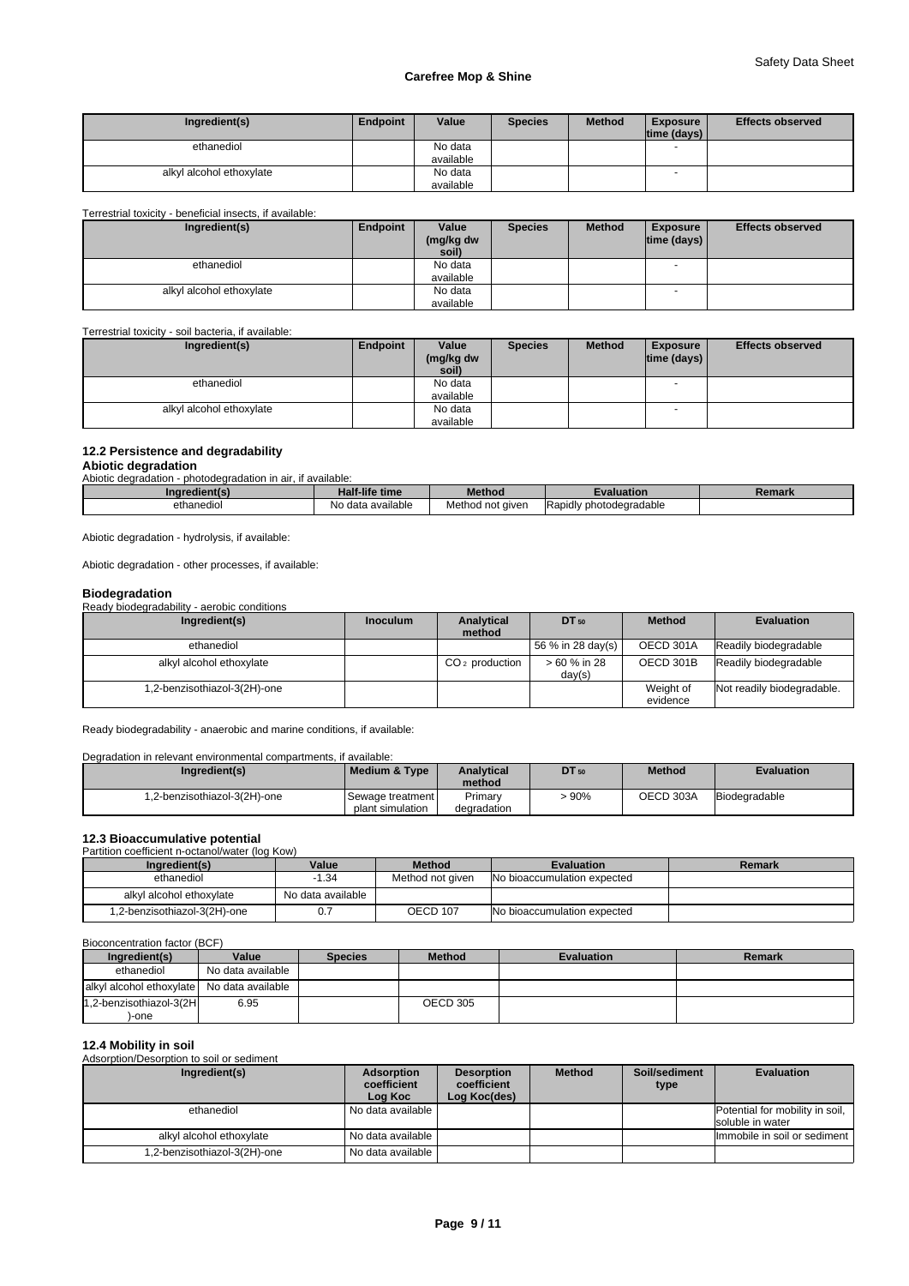| Ingredient(s)            | Endpoint | Value     | <b>Species</b> | <b>Method</b> | <b>Exposure</b><br>time (days) | <b>Effects observed</b> |
|--------------------------|----------|-----------|----------------|---------------|--------------------------------|-------------------------|
| ethanediol               |          | No data   |                |               |                                |                         |
|                          |          | available |                |               |                                |                         |
| alkyl alcohol ethoxylate |          | No data   |                |               |                                |                         |
|                          |          | available |                |               |                                |                         |

#### Terrestrial toxicity - beneficial insects, if available:

| Ingredient(s)            | Endpoint | Value                | <b>Species</b> | <b>Method</b> | <b>Exposure</b>                | <b>Effects observed</b> |
|--------------------------|----------|----------------------|----------------|---------------|--------------------------------|-------------------------|
|                          |          | (mg/kg dw<br>soil)   |                |               | $\lim_{\theta}$ (days) $\Vert$ |                         |
| ethanediol               |          | No data              |                |               |                                |                         |
| alkyl alcohol ethoxylate |          | available<br>No data |                |               | $\overline{\phantom{a}}$       |                         |
|                          |          | available            |                |               |                                |                         |

Terrestrial toxicity - soil bacteria, if available:

| Ingredient(s)            | Endpoint | Value<br>(mg/kg dw<br>soil) | <b>Species</b> | <b>Method</b> | <b>Exposure</b><br> time (days) | <b>Effects observed</b> |
|--------------------------|----------|-----------------------------|----------------|---------------|---------------------------------|-------------------------|
| ethanediol               |          | No data                     |                |               |                                 |                         |
|                          |          | available                   |                |               |                                 |                         |
| alkyl alcohol ethoxylate |          | No data                     |                |               |                                 |                         |
|                          |          | available                   |                |               |                                 |                         |

#### **12.2 Persistence and degradability**

#### **Abiotic degradation**

| Abiotic degradation                                          |                |        |                   |        |  |  |  |  |  |
|--------------------------------------------------------------|----------------|--------|-------------------|--------|--|--|--|--|--|
| Abiotic degradation - photodegradation in air, if available: |                |        |                   |        |  |  |  |  |  |
| Ingredient(s)                                                | Half-life time | Method | <b>Evaluation</b> | Remark |  |  |  |  |  |
|                                                              |                |        |                   |        |  |  |  |  |  |

Abiotic degradation - hydrolysis, if available:

Abiotic degradation - other processes, if available:

# **Biodegradation**

Ready biodegradability - aerobic conditions

| Ingredient(s)                | <b>Inoculum</b> | Analytical       | DT 50                  | <b>Method</b> | <b>Evaluation</b>          |
|------------------------------|-----------------|------------------|------------------------|---------------|----------------------------|
|                              |                 | method           |                        |               |                            |
| ethanediol                   |                 |                  | 56 % in 28 day(s)      | OECD 301A     | Readily biodegradable      |
| alkyl alcohol ethoxylate     |                 | $CO2$ production | > 60 % in 28<br>day(s) | OECD 301B     | Readily biodegradable      |
| 1,2-benzisothiazol-3(2H)-one |                 |                  |                        | Weight of     | Not readily biodegradable. |
|                              |                 |                  |                        | evidence      |                            |

Ready biodegradability - anaerobic and marine conditions, if available:

Degradation in relevant environmental compartments, if available:

| Ingredient(s)                | Medium & Type    | <b>Analytical</b> | <b>DT</b> 50 | <b>Method</b> | <b>Evaluation</b> |
|------------------------------|------------------|-------------------|--------------|---------------|-------------------|
|                              |                  | method            |              |               |                   |
| 1.2-benzisothiazol-3(2H)-one | Sewage treatment | Primary           | .90%         | OECD 303A     | Biodegradable     |
|                              | plant simulation | degradation       |              |               |                   |

# **12.3 Bioaccumulative potential**<br>Partition coefficient n-octanol/water (log Kow)

| Partition coemcient n-octanol/water (log Row) |                   |                  |                             |        |  |  |
|-----------------------------------------------|-------------------|------------------|-----------------------------|--------|--|--|
| Ingredient(s)                                 | Value             | <b>Method</b>    | <b>Evaluation</b>           | Remark |  |  |
| ethanediol                                    | $-1.34$           | Method not aiven | No bioaccumulation expected |        |  |  |
| alkyl alcohol ethoxylate                      | No data available |                  |                             |        |  |  |
| 1,2-benzisothiazol-3(2H)-one                  |                   | OECD 107         | No bioaccumulation expected |        |  |  |

Bioconcentration factor (BCF)

| Ingredient(s)                              | Value             | <b>Species</b> | <b>Method</b> | <b>Evaluation</b> | Remark |
|--------------------------------------------|-------------------|----------------|---------------|-------------------|--------|
| ethanediol                                 | No data available |                |               |                   |        |
| alkyl alcohol ethoxylate No data available |                   |                |               |                   |        |
| 1,2-benzisothiazol-3(2H                    | 6.95              |                | OECD 305      |                   |        |
| -one                                       |                   |                |               |                   |        |

# **12.4 Mobility in soil**

Adsorption/Desorption to soil or sediment

| Ingredient(s)                | Adsorption<br>coefficient<br>Log Koc | <b>Desorption</b><br>coefficient<br>Log Koc(des) | <b>Method</b> | Soil/sediment<br>type | <b>Evaluation</b>                                   |
|------------------------------|--------------------------------------|--------------------------------------------------|---------------|-----------------------|-----------------------------------------------------|
| ethanediol                   | l No data available I                |                                                  |               |                       | Potential for mobility in soil,<br>soluble in water |
| alkyl alcohol ethoxylate     | l No data available I                |                                                  |               |                       | Immobile in soil or sediment                        |
| 1,2-benzisothiazol-3(2H)-one | No data available                    |                                                  |               |                       |                                                     |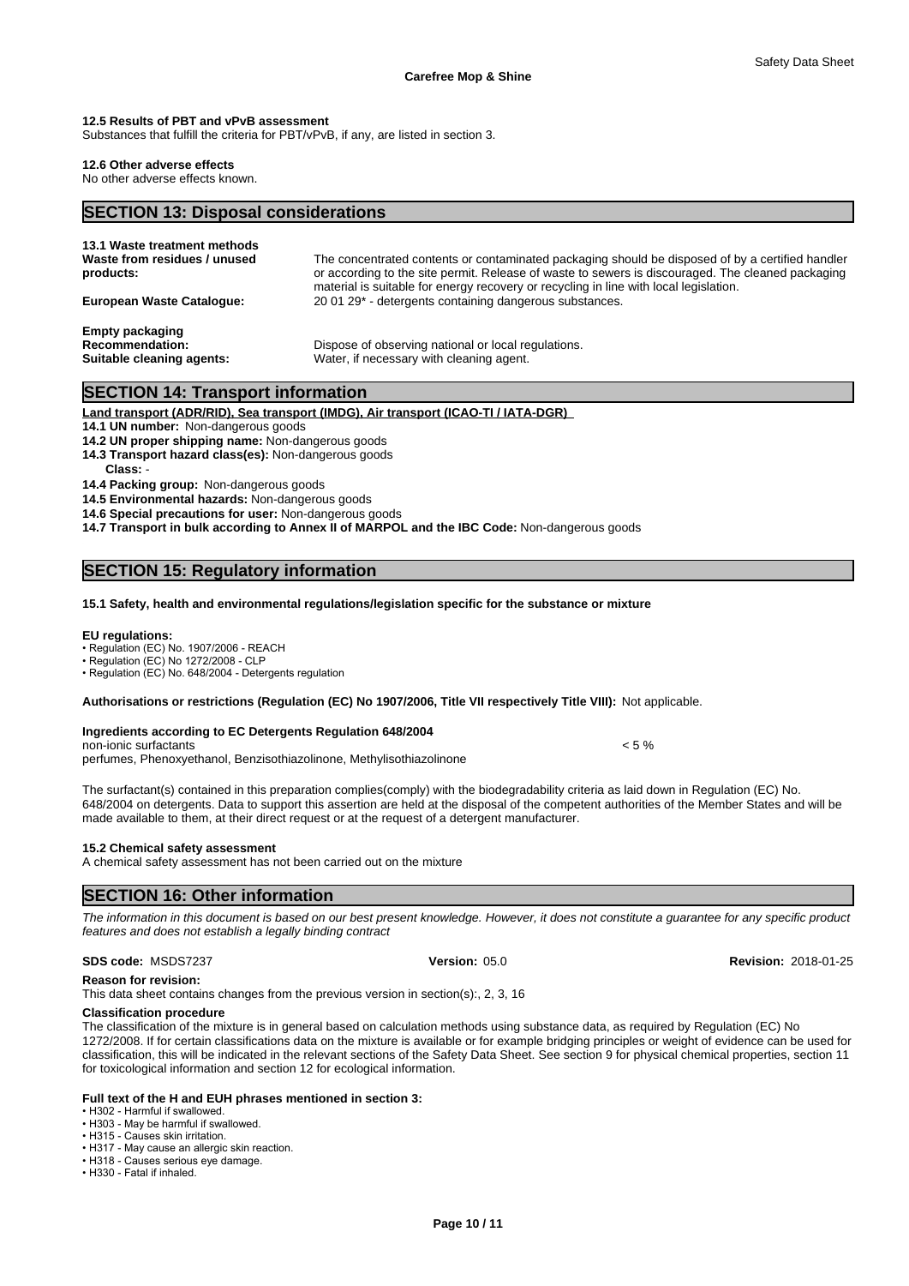#### **12.5 Results of PBT and vPvB assessment**

Substances that fulfill the criteria for PBT/vPvB, if any, are listed in section 3.

#### **12.6 Other adverse effects**

No other adverse effects known.

# **SECTION 13: Disposal considerations**

| 13.1 Waste treatment methods<br>Waste from residues / unused<br>products:     | The concentrated contents or contaminated packaging should be disposed of by a certified handler<br>or according to the site permit. Release of waste to sewers is discouraged. The cleaned packaging<br>material is suitable for energy recovery or recycling in line with local legislation. |
|-------------------------------------------------------------------------------|------------------------------------------------------------------------------------------------------------------------------------------------------------------------------------------------------------------------------------------------------------------------------------------------|
| <b>European Waste Catalogue:</b>                                              | 20 01 29 <sup>*</sup> - detergents containing dangerous substances.                                                                                                                                                                                                                            |
| <b>Empty packaging</b><br><b>Recommendation:</b><br>Suitable cleaning agents: | Dispose of observing national or local regulations.<br>Water, if necessary with cleaning agent.                                                                                                                                                                                                |

# **SECTION 14: Transport information**

**Land transport (ADR/RID), Sea transport (IMDG), Air transport (ICAO-TI / IATA-DGR)** 

**14.1 UN number:** Non-dangerous goods

- **14.2 UN proper shipping name:** Non-dangerous goods
- **14.3 Transport hazard class(es):** Non-dangerous goods **Class:** -

**14.4 Packing group:** Non-dangerous goods

**14.5 Environmental hazards:** Non-dangerous goods

**14.6 Special precautions for user:** Non-dangerous goods

**14.7 Transport in bulk according to Annex II of MARPOL and the IBC Code:** Non-dangerous goods

# **SECTION 15: Regulatory information**

#### **15.1 Safety, health and environmental regulations/legislation specific for the substance or mixture**

#### **EU regulations:**

•Regulation(EC)No.1907/2006-REACH

• Regulation (EC) No 1272/2008 - CLP

• Regulation (EC) No. 648/2004 - Detergents regulation

**Authorisations or restrictions (Regulation (EC) No 1907/2006, Title VII respectively Title VIII):** Not applicable.

#### **Ingredients according to EC Detergents Regulation 648/2004**

non-ionic surfactants  $\leq 5\%$ perfumes, Phenoxyethanol, Benzisothiazolinone, Methylisothiazolinone

The surfactant(s) contained in this preparation complies(comply) with the biodegradability criteria as laid down in Regulation (EC) No. 648/2004 on detergents. Data to support this assertion are held at the disposal of the competent authorities of the Member States and will be made available to them, at their direct request or at the request of a detergent manufacturer.

#### **15.2 Chemical safety assessment**

A chemical safety assessment has not been carried out on the mixture

# **SECTION 16: Other information**

*The information in this document is based on our best present knowledge. However, it does not constitute a guarantee for any specific product features and does not establish a legally binding contract*

#### **SDS code:** MSDS7237 **Version:** 05.0 **Revision:** 2018-01-25

**Reason for revision:**

This data sheet contains changes from the previous version in section(s):, 2, 3, 16

# **Classification procedure**

The classification of the mixture is in general based on calculation methods using substance data, as required by Regulation (EC) No 1272/2008. If for certain classifications data on the mixture is available or for example bridging principles or weight of evidence can be used for classification, this will be indicated in the relevant sections of the Safety Data Sheet. See section 9 for physical chemical properties, section 11 for toxicological information and section 12 for ecological information.

### **Full text of the H and EUH phrases mentioned in section 3:**

• H302 - Harmful if swallowed.

• H303 - May be harmful if swallowed.

• H315 - Causes skin irritation.

• H317 - May cause an allergic skin reaction. • H318 - Causes serious eye damage.

• H330 - Fatal if inhaled.